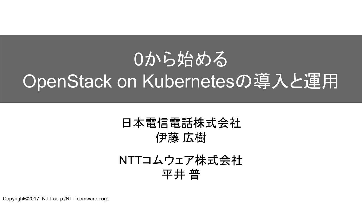# 0から始める OpenStack on Kubernetesの導入と運用

### 日本電信電話株式会社 伊藤 広樹

### NTTコムウェア株式会社 平井 普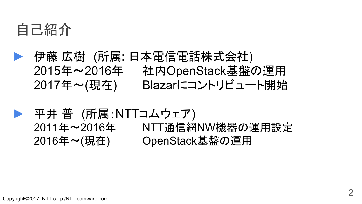

- **►** 伊藤 広樹 (所属: 日本電信電話株式会社) 2015年~2016年 社内OpenStack基盤の運用 2017年〜(現在) Blazarにコントリビュート開始
	- 平井 普 (所属:NTTコムウェア) 2011年〜2016年 NTT通信網NW機器の運用設定 2016年〜(現在) OpenStack基盤の運用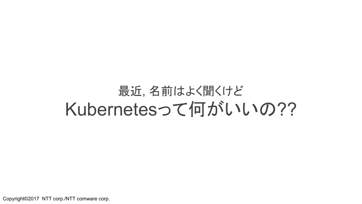# 最近, 名前はよく聞くけど Kubernetesって何がいいの??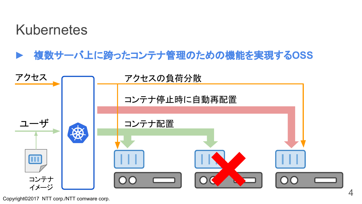## Kubernetes

**►** 複数サーバ上に跨ったコンテナ管理䛾ため䛾機能を実現する**OSS**

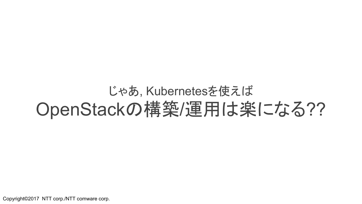# じゃあ, Kubernetesを使え䜀 OpenStackの構築/運用は楽になる??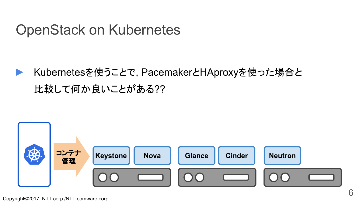## OpenStack on Kubernetes

► Kubernetesを使うことで, PacemakerとHAproxyを使った場合と 比較して何か良いことがある??

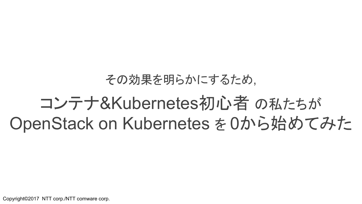### その効果を明らかにするため,

# コンテナ&Kubernetes初心者の私たちが OpenStack on Kubernetes を 0から始めてみた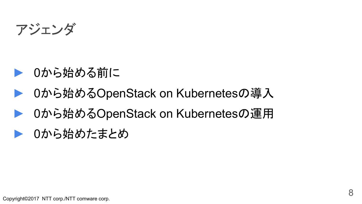アジェンダ

- ▶ 0から始める前に
- 0から始めるOpenStack on Kubernetesの導入
- 0から始めるOpenStack on Kubernetesの運用
- ▶ 0から始めたまとめ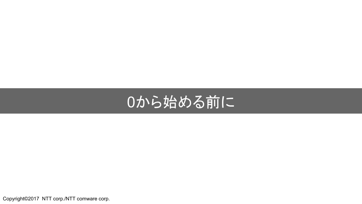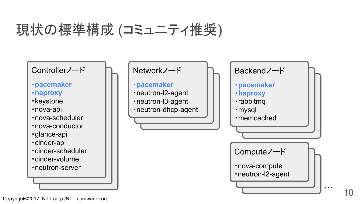# 現状の標準構成 (コミュニティ推奨)

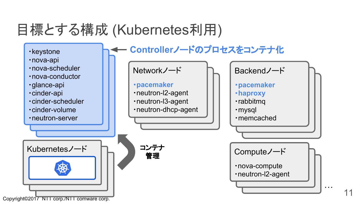# 目標とする構成 (Kubernetes利用)

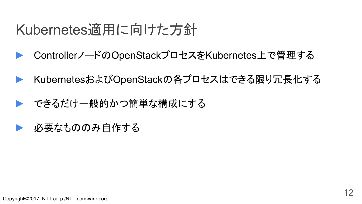# Kubernetes適用に向けた方針

- ► Controllerノード䛾OpenStackプロセスをKubernetes上で管理する
- ► KubernetesおよびOpenStack䛾各プロセス䛿できる限り冗長化する
- できるだけ一般的かつ簡単な構成にする
- 必要なもののみ自作する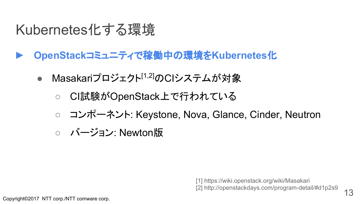# Kubernetes化する環境

- **► OpenStack**コミュニティで稼働中䛾環境を**Kubernetes**化
	- Masakariプロジェクト<sup>[1,2]</sup>のCIシステムが対象
		- CI試験がOpenStack上で行われている
		- コンポーネント: Keystone, Nova, Glance, Cinder, Neutron
		- バージョン: Newton版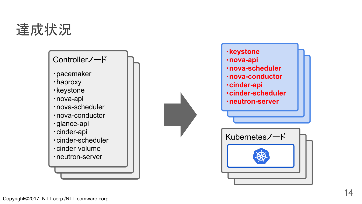# 達成状況

#### Controllerノード

- ・pacemaker
- ・haproxy
- ・keystone
- ・nova-api
- ・nova-scheduler
- ・nova-conductor
- ・glance-api
- ・cinder-api
- ・cinder-scheduler
- ・cinder-volume
- ・neutron-server

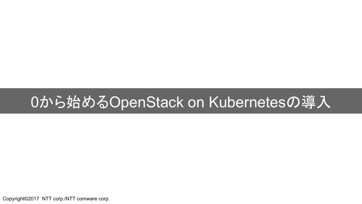# 0から始めるOpenStack on Kubernetesの導入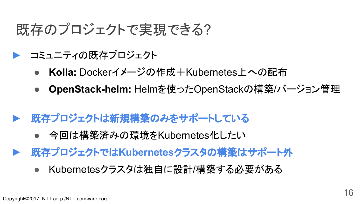# 既存のプロジェクトで実現できる?

- ▶ コミュニティの既存プロジェクト
	- Kolla: Dockerイメージの作成+Kubernetes上への配布
	- **OpenStack-helm:** Helmを使ったOpenStackの構築/バージョン管理
- **既存プロジェクトは新規構築のみをサポートしている** 
	- 今回は構築済みの環境をKubernetes化したい
- **既存プロジェクトではKubernetesクラスタの構築はサポート外** 
	- Kubernetesクラスタは独自に設計/構築する必要がある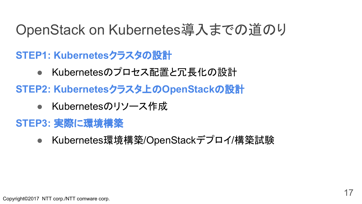# OpenStack on Kubernetes導入までの道のり

**STEP1: Kubernetesクラスタの設計** 

- Kubernetesのプロセス配置と冗長化の設計
- **STEP2: Kubernetesクラスタ上のOpenStackの設計** 
	- Kubernetesのリソース作成
- **STEP3:** 実際に環境構築
	- Kubernetes環境構築/OpenStackデプロイ/構築試験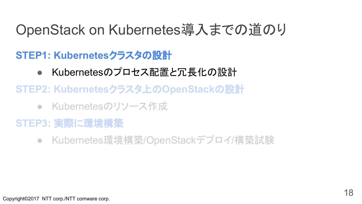# OpenStack on Kubernetes導入までの道のり

### **STEP1: Kubernetesクラスタの設計**

- Kubernetesのプロセス配置と冗長化の設計
- **STEP2: Kubernetesクラスタ上のOpenStackの設計** 
	- Kubernetesのリソース作成
- **STEP3:** 実際に環境構築
	- Kubernetes環境構築/OpenStackデプロイ/構築試験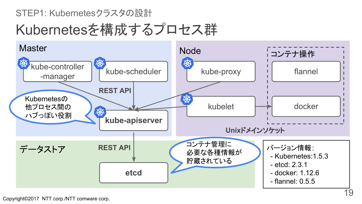#### STEP1: Kubernetesクラスタの設計

# Kubernetesを構成するプロセス群

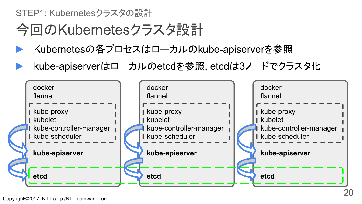STEP1: Kubernetesクラスタの設計

# 今回䛾Kubernetesクラスタ設計

- Kubernetesの各プロセスはローカルのkube-apiserverを参照
- kube-apiserverはローカルのetcdを参照, etcdは3ノードでクラスタ化

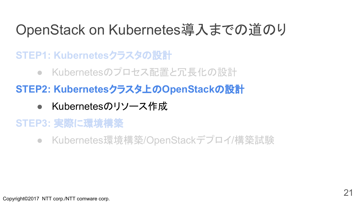# OpenStack on Kubernetes導入までの道のり

**STEP1: Kubernetesクラスタの設計** 

● Kubernetesのプロセス配置と冗長化の設計

**STEP2: Kubernetesクラスタ上のOpenStackの設計** 

● Kubernetes䛾リソース作成

### **STEP3:** 実際に環境構築

● Kubernetes環境構築/OpenStackデプロイ/構築試験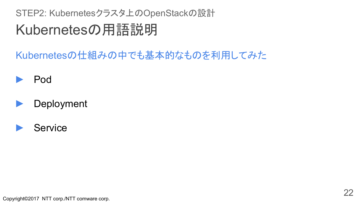### Kubernetes䛾用語説明 STEP2: Kubernetesクラスタ上のOpenStackの設計

Kubernetesの仕組みの中でも基本的なものを利用してみた



#### Deployment

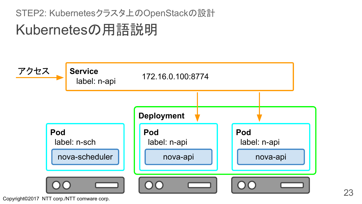STEP2: Kubernetesクラスタ上のOpenStackの設計

# Kubernetes䛾用語説明

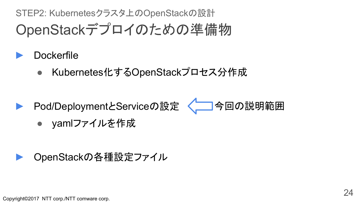OpenStackデプロイのための準備物 STEP2: Kubernetesクラスタ上のOpenStackの設計

- Dockerfile
	- Kubernetes化するOpenStackプロセス分作成

▶ Pod/DeploymentとServiceの設定 < 今回の説明範囲



● yamlファイルを作成

### OpenStackの各種設定ファイル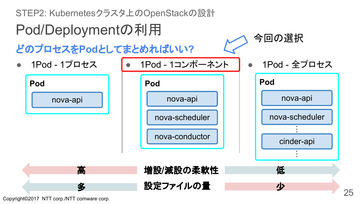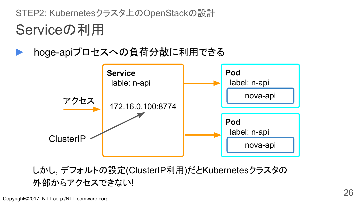Serviceの利用 STEP2: Kubernetesクラスタ上のOpenStackの設計

### hoge-apiプロセスへの負荷分散に利用できる



しかし, デフォルトの設定(ClusterIP利用)だとKubernetesクラスタの 外部からアクセスできない!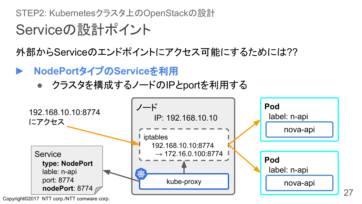STEP2: Kubernetesクラスタ上のOpenStackの設計

# Serviceの設計ポイント

外部からServiceのエンドポイントにアクセス可能にするためには??

- **NodePortタイプのServiceを利用** 
	- クラスタを構成するノードのIPとportを利用する



27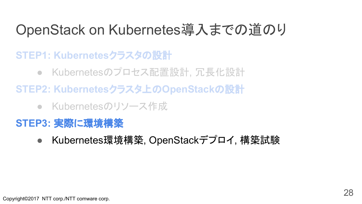# OpenStack on Kubernetes導入までの道のり

**STEP1: Kubernetesクラスタの設計** 

- Kubernetesのプロセス配置設計, 冗長化設計
- **STEP2: Kubernetesクラスタ上のOpenStackの設計** 
	- Kubernetesのリソース作成

### **STEP3:** 実際に環境構築

● Kubernetes環境構築, OpenStackデプロイ, 構築試験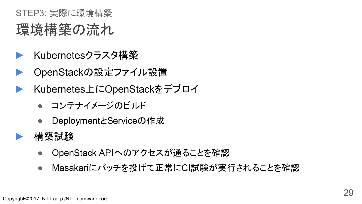## 環境構築の流れ STEP3: 実際に環境構築

- ► Kubernetesクラスタ構築
- ► OpenStack䛾設定ファイル設置
- ► Kubernetes上にOpenStackをデプロイ
	- コンテナイメージのビルド
	- DeploymentとServiceの作成
- ► 構築試験
	- OpenStack APIへ䛾アクセスが通ることを確認
	- Masakariにパッチを投げて正常にCI試験が実行されることを確認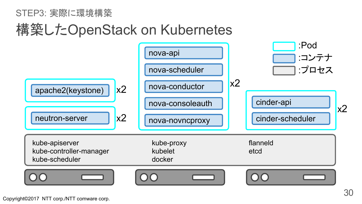#### STEP3: 実際に環境構築

# 構築したOpenStack on Kubernetes

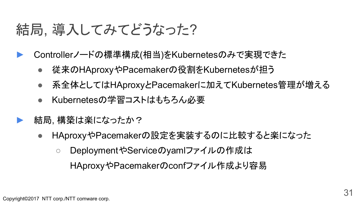# 結局, 導入してみてどうなった?

- Controllerノードの標準構成(相当)をKubernetesのみで実現できた
	- 従来䛾HAproxyやPacemaker䛾役割をKubernetesが担う
	- 系全体として䛿HAproxyとPacemakerに加えてKubernetes管理が増える
	- Kubernetes䛾学習コスト䛿もちろん必要
- 結局. 構築は楽になったか?
	- HAproxyやPacemaker䛾設定を実装する䛾に比較すると楽になった
		- DeploymentやServiceのyamlファイルの作成は HAproxyやPacemakerのconfファイル作成より容易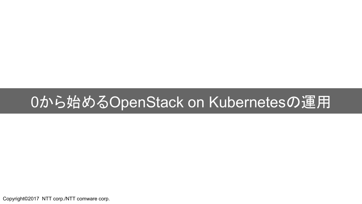# 0から始めるOpenStack on Kubernetesの運用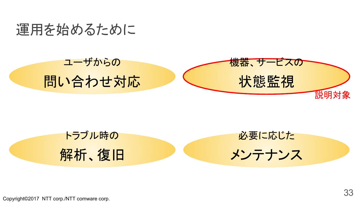



トラブル時の 解析、復旧 必要に応じた メンテナンス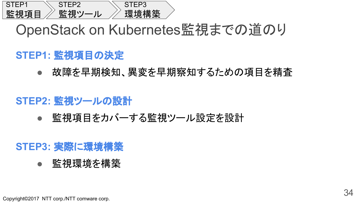

## OpenStack on Kubernetes監視までの道のり

#### **STEP1: 監視項目の決定**

● 故障を早期検知、異変を早期察知するための項目を精査

#### **STEP2:** 監視ツール䛾設計

監視項目をカバーする監視ツール設定を設計

#### **STEP3:** 実際に環境構築

監視環境を構築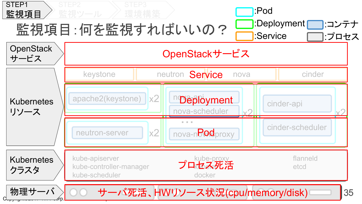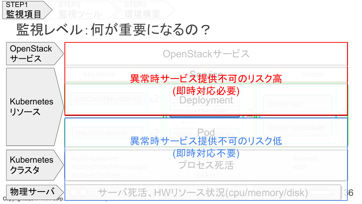

# 監視レベル:何が重要になるの?

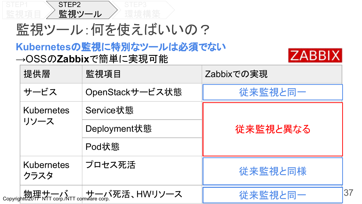

監視ツール:何を使えばいいの?

#### **Kubernetes**䛾監視に特別なツール䛿必須でない →OSSのZabbixで簡単に実現可能



| 提供層                                                   | 監視項目            | Zabbixでの実現    |
|-------------------------------------------------------|-----------------|---------------|
| サービス                                                  | OpenStackサービス状態 | 従来監視と同一       |
| <b>Kubernetes</b>                                     | Service状態       | 従来監視と異なる      |
| リソース                                                  | Deployment状態    |               |
|                                                       | Pod状態           |               |
| <b>Kubernetes</b><br>クラスタ                             | プロセス死活          | 従来監視と同様       |
| Copyright@2000 KTT corp./NTT comware corp. V死活、HWリソース |                 | 37<br>従来監視と同一 |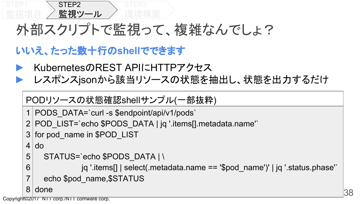

# 外部スクリプトで監視って、複雑なんでしょ?

### **いいえ、たった数十行のshellでできます**

- KubernetesのREST APIにHTTPアクセス
- レスポンスjsonから該当リソースの状態を抽出し、状態を出力するだけ

```
PODリソースの状態確認shellサンプル(一部抜粋)
```

```
1 PODS DATA=`curl -s $endpoint/api/v1/pods`
```

```
2 POD_LIST=`echo $PODS_DATA | jq '.items[].metadata.name'`
```
3 for pod\_name in \$POD\_LIST

 $4$  do

```
5 STATUS=`echo $PODS DATA | \
```
6 jq '.items[] | select(.metadata.name == '\$pod\_name')' | jq '.status.phase'`

echo \$pod\_name, \$STATUS

8 done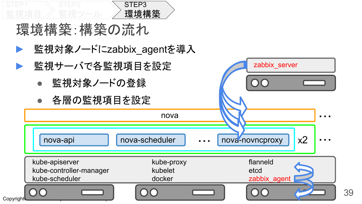

環境構築:構築の流れ

- 監視対象ノードにzabbix agentを導入
- 監視サーバで各監視項目を設定
	- 監視対象ノードの登録
	- 各層の監視項目を設定



zabbix\_server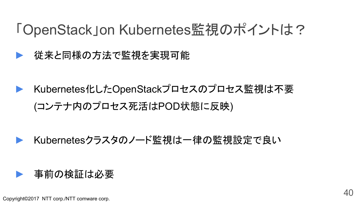# 「OpenStack」on Kubernetes監視のポイントは?

従来と同様の方法で監視を実現可能

Kubernetes化したOpenStackプロセスのプロセス監視は不要 (コンテナ内のプロセス死活はPOD状態に反映)

### Kubernetesクラスタのノード監視は一律の監視設定で良い

#### 事前の検証は必要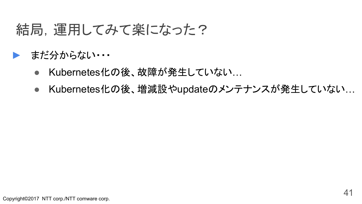# 結局,運用してみて楽になった?

### ► まだ分からない・・・

- Kubernetes化の後、故障が発生していない…
- Kubernetes化の後、増減設やupdateのメンテナンスが発生していない…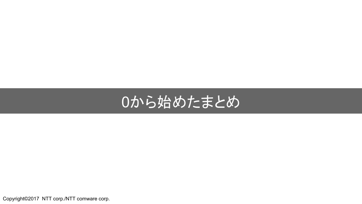# 0から始めたまとめ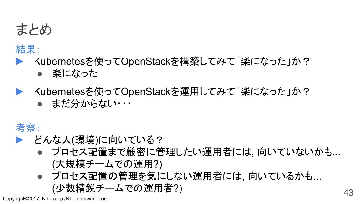

#### 結果:

- ► Kubernetesを使ってOpenStackを構築してみて「楽になった」か? 楽になった
- ▶ Kubernetesを使ってOpenStackを運用してみて「楽になった」か?
	- まだ分からない・・・

### 考察:

- ▶ どんな人(環境)に向いている?
	- プロセス配置まで厳密に管理したい運用者には, 向いていないかも... (大規模チームで䛾運用?)
	- プロセス配置の管理を気にしない運用者には, 向いているかも... (少数精鋭チームで䛾運用者?) <sup>43</sup>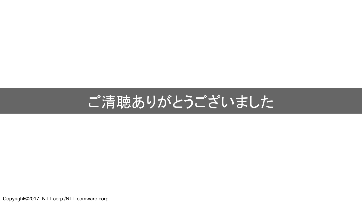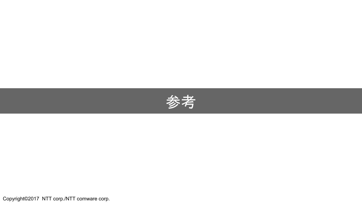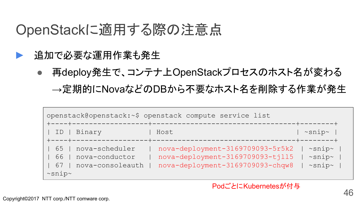## OpenStackに適用する際の注意点

- 追加で必要な運用作業も発生
	- 再deploy発生で、コンテナ上OpenStackプロセス䛾ホスト名が変わる

→定期的にNovaなどのDBから不要なホスト名を削除する作業が発生

| openstack@openstack:~\$ openstack compute service list |                                                      |                                                                                                          |                                                                |  |
|--------------------------------------------------------|------------------------------------------------------|----------------------------------------------------------------------------------------------------------|----------------------------------------------------------------|--|
| ID                                                     | Binary<br>+----+---------                            | Host                                                                                                     | $\sim$ snip $\sim$<br>----+--------+                           |  |
| 65<br>66<br>67<br>$~\sim$ snip $\sim$                  | nova-scheduler<br>nova-conductor<br>nova-consoleauth | nova-deployment-3169709093-5r5k2<br>nova-deployment-3169709093-tjll5<br>nova-deployment-3169709093-chqw8 | $\sim$ snip $\sim$<br>$\sim$ snip $\sim$<br>$\sim$ snip $\sim$ |  |

#### PodごとにKubernetesが付与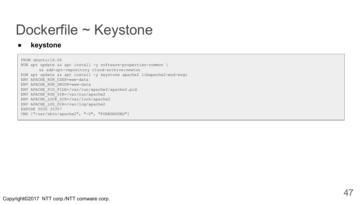# Dockerfile ~ Keystone

#### ● **keystone**

FROM ubuntu:16.04 RUN apt update && apt install -y software-properties-common \ && add-apt-repository cloud-archive:newton RUN apt update && apt install -y keystone apache2 libapache2-mod-wsgi ENV APACHE\_RUN\_USER=www-data ENV APACHE\_RUN\_GROUP=www-data ENV APACHE\_PID\_FILE=/var/run/apache2/apache2.pid ENV APACHE\_RUN\_DIR=/var/run/apache2 ENV APACHE\_LOCK\_DIR=/var/lock/apache2 ENV APACHE\_LOG\_DIR=/var/log/apache2 EXPOSE 5000 35357 CMD ["/usr/sbin/apache2", "-D", "FOREGROUND"]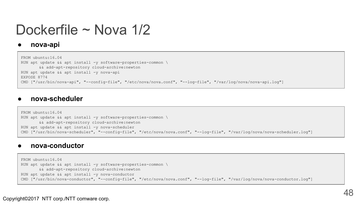# Dockerfile ~ Nova 1/2

#### ● **nova-api**

```
FROM ubuntu:16.04
RUN apt update & a apt install -y software-properties-common \
       && add-apt-repository cloud-archive:newton
RUN apt update && apt install -y nova-api
EXPOSE 8774
CMD ["/usr/bin/nova-api", "--config-file", "/etc/nova/nova.conf", "--log-file", "/var/log/nova/nova-api.log"]
```
#### ● **nova-scheduler**

```
FROM ubuntu:16.04
RUN apt update && apt install -y software-properties-common \
       && add-apt-repository cloud-archive:newton
RUN apt update && apt install -y nova-scheduler
CMD ["/usr/bin/nova-scheduler", "--config-file", "/etc/nova/nova.conf", "--log-file", "/var/log/nova/nova-scheduler.log"]
```
#### ● **nova-conductor**

```
FROM ubuntu:16.04
RUN apt update & apt install -y software-properties-common \
       && add-apt-repository cloud-archive:newton
RUN apt update && apt install -y nova-conductor
CMD ["/usr/bin/nova-conductor", "--config-file", "/etc/nova/nova.conf", "--log-file", "/var/log/nova/nova-conductor.log"]
```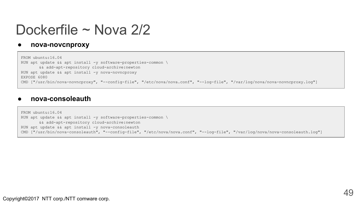## Dockerfile ~ Nova 2/2

#### ● **nova-novcnproxy**

```
FROM ubuntu:16.04
RUN apt update & a apt install -y software-properties-common \
       && add-apt-repository cloud-archive:newton
RUN apt update && apt install -y nova-novncproxy
EXPOSE 6080
CMD ["/usr/bin/nova-novncproxy", "--config-file", "/etc/nova/nova.conf", "--log-file", "/var/log/nova/nova-novncproxy.log"]
```
#### ● **nova-consoleauth**

```
FROM ubuntu:16.04
RUN apt update & apt install -y software-properties-common \
       && add-apt-repository cloud-archive:newton
RUN apt update && apt install -y nova-consoleauth
CMD ["/usr/bin/nova-consoleauth", "--config-file", "/etc/nova/nova.conf", "--log-file", "/var/log/nova/nova-consoleauth.log"]
```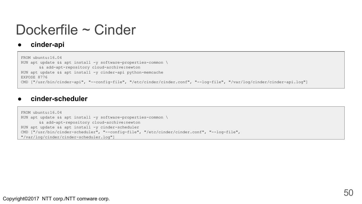## Dockerfile ~ Cinder

#### ● **cinder-api**

```
FROM ubuntu:16.04
RUN apt update & a apt install -y software-properties-common \
       && add-apt-repository cloud-archive:newton
RUN apt update && apt install -y cinder-api python-memcache
EXPOSE 8776
CMD ["/usr/bin/cinder-api", "--config-file", "/etc/cinder/cinder.conf", "--log-file", "/var/log/cinder/cinder-api.log"]
```
#### ● **cinder-scheduler**

```
FROM ubuntu:16.04
RUN apt update && apt install -y software-properties-common \
       && add-apt-repository cloud-archive:newton
RUN apt update && apt install -y cinder-scheduler
CMD ["/usr/bin/cinder-scheduler", "--config-file", "/etc/cinder/cinder.conf", "--log-file", 
"/var/log/cinder/cinder-scheduler.log"]
```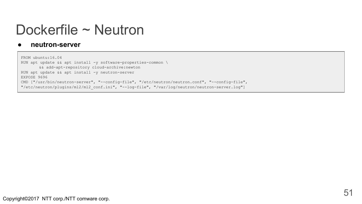## Dockerfile ~ Neutron

#### ● **neutron-server**

```
FROM ubuntu:16.04
RUN apt update && apt install -y software-properties-common \
       && add-apt-repository cloud-archive:newton
RUN apt update && apt install -y neutron-server
EXPOSE 9696
CMD ["/usr/bin/neutron-server", "--config-file", "/etc/neutron/neutron.conf", "--config-file", 
"/etc/neutron/plugins/ml2/ml2_conf.ini", "--log-file", "/var/log/neutron/neutron-server.log"]
```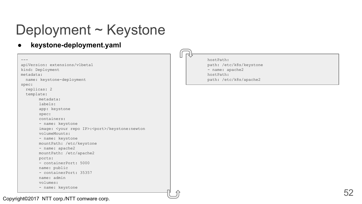# Deployment ~ Keystone

● **keystone-deployment.yaml**

```
---
apiVersion: extensions/v1beta1
kind: Deployment
metadata:
   name: keystone-deployment
spec:
   replicas: 2
   template:
        metadata:
         labels:
         app: keystone
        spec:
         containers:
         - name: keystone
        image: <your repo IP>:<port>/keystone:newton
         volumeMounts:
         - name: keystone
         mountPath: /etc/keystone
         - name: apache2
         mountPath: /etc/apache2
         ports:
         - containerPort: 5000
         name: public
         - containerPort: 35357
         name: admin
         volumes:
         - name: keystone
```
 hostPath: path: /etc/k8s/keystone - name: apache2 hostPath: path: /etc/k8s/apache2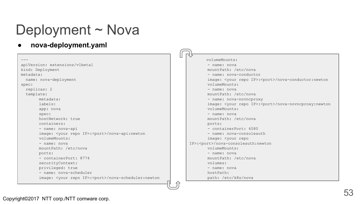# Deployment ~ Nova

● **nova-deployment.yaml**

|                                                                        | トゾ<br>ш                                                                 |
|------------------------------------------------------------------------|-------------------------------------------------------------------------|
|                                                                        | volumeMounts:                                                           |
| apiVersion: extensions/v1beta1                                         | - name: nova                                                            |
| kind: Deployment                                                       | mountPath: /etc/nova                                                    |
| metadata:                                                              | - name: nova-conductor                                                  |
| name: nova-deployment                                                  | image: < your repo IP>: <port>/nova-conductor: newton</port>            |
| spec:                                                                  | volumeMounts:                                                           |
| replicas: 2                                                            | - name: nova                                                            |
| template:                                                              | mountPath: /etc/nova                                                    |
| metadata:                                                              | - name: nova-novncproxy                                                 |
| labels:                                                                | image: <your ip="" repo="">:<port>/nova-novncproxy:newton</port></your> |
| app: nova                                                              | volumeMounts:                                                           |
| spec:                                                                  | - name: nova                                                            |
| hostNetwork: true                                                      | mountPath: /etc/nova                                                    |
| containers:                                                            | ports:                                                                  |
| - name: nova-api                                                       | - containerPort: 6080                                                   |
| image: <your ip="" repo="">:<port>/nova-api:newton</port></your>       | - name: nova-consoleauth                                                |
| volumeMounts:                                                          | image: <your repo<="" td=""></your>                                     |
| - name: nova                                                           | IP>: <port>/nova-consoleauth:newton</port>                              |
| mountPath: /etc/nova                                                   | volumeMounts:                                                           |
| ports:                                                                 | - name: nova                                                            |
| - containerPort: 8774                                                  | mountPath: /etc/nova                                                    |
| securityContext:                                                       | volumes:                                                                |
| privileged: true                                                       | - name: nova                                                            |
| - name: nova-scheduler                                                 | hostPath:                                                               |
| image: <your ip="" repo="">:<port>/nova-scheduler:newton</port></your> | path: /etc/k8s/nova                                                     |

 $\bigcap$ 

 $\overline{\phantom{0}}$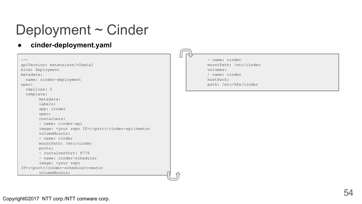# Deployment ~ Cinder

● **cinder-deployment.yaml**

```
---
apiVersion: extensions/v1beta1
kind: Deployment
metadata:
  name: cinder-deployment
spec:
  replicas: 2
   template:
       metadata:
        labels:
        app: cinder
       spec:
         containers:
        - name: cinder-api
       image: <your repo IP>:<port>/cinder-api:newton
        volumeMounts:
        - name: cinder
        mountPath: /etc/cinder
        ports:
         - containerPort: 8776
        - name: cinder-scheduler
        image: <your repo 
IP>:<port>/cinder-scheduler:newton
         volumeMounts:
```
 - name: cinder mountPath: /etc/cinder volumes: - name: cinder hostPath: path: /etc/k8s/cinder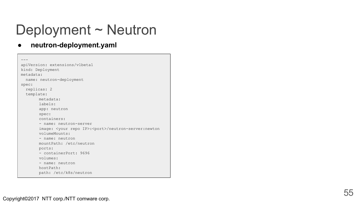# Deployment ~ Neutron

```
---apiVersion: extensions/v1beta1
 kind: Deployment
 metadata:
     name: neutron-deployment
 spec:
     replicas: 2
     template:
             metadata:
              labels:
              app: neutron
             spec:
              containers:
              - name: neutron-server
             image: <your repo IP>:<port>/neutron-server:newton
              volumeMounts:
              - name: neutron
              mountPath: /etc/neutron
              ports:
              - containerPort: 9696
              volumes:
              - name: neutron
              hostPath:
              path: /etc/k8s/neutron
example:<br>
neutron-deployment.yaml<br>
neutadata:<br>
name: neutron-deployment<br>
metadata:<br>
name: neutron-deployment<br>
spec:<br>
replicas: 2<br>
temple: neutron<br>
spec:<br>
ontainers:<br>
- name: neutron-server<br>
image: <your repo IP>:
```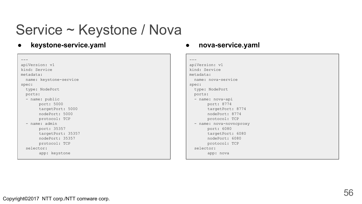# Service ~ Keystone / Nova

● **keystone-service.yaml**

```
---
apiVersion: v1
kind: Service
metadata:
  name: keystone-service
spec:
   type: NodePort
  ports:
  - name: public
       port: 5000
       targetPort: 5000
       nodePort: 5000
       protocol: TCP
   - name: admin
       port: 35357
       targetPort: 35357
       nodePort: 35357
       protocol: TCP
   selector:
       app: keystone
```
#### ● **nova-service.yaml**

```
---apiVersion: v1
kind: Service
metadata:
  name: nova-service
spec:
  type: NodePort
  ports:
  - name: nova-api
       port: 8774
       targetPort: 8774
       nodePort: 8774
       protocol: TCP
  - name: nova-novncproxy
       port: 6080
       targetPort: 6080
       nodePort: 6080
       protocol: TCP
   selector:
        app: nova
```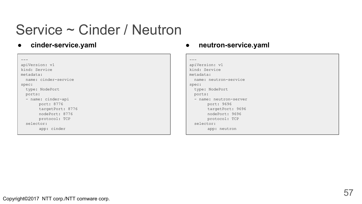## Service ~ Cinder / Neutron

● **cinder-service.yaml**

 $--$ apiVersion: v1 kind: Service metadata: name: cinder-service spec: type: NodePort ports: - name: cinder-api port: 8776 targetPort: 8776 nodePort: 8776 protocol: TCP selector: app: cinder

#### ● **neutron-service.yaml**

```
---apiVersion: v1
kind: Service
metadata:
  name: neutron-service
spec:
  type: NodePort
  ports:
   - name: neutron-server
       port: 9696
       targetPort: 9696
       nodePort: 9696
       protocol: TCP
   selector:
       app: neutron
```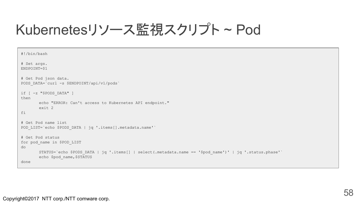# Kubernetesリソース監視スクリプト ~ Pod

```
#!/bin/bash
# Set args.
ENDPOINT=$1
# Get Pod json data.
PODS DATA=`curl -s $ENDPOINT/api/v1/pods`
if [ -z "$PODS_DATA" ]
then
       echo "ERROR: Can't access to Kubernetes API endpoint."
       exit 2
fi
# Get Pod name list
POD LIST=`echo $PODS DATA | jq '.items[].metadata.name'`
# Get Pod status
for pod_name in $POD_LIST
do
       STATUS=`echo $PODS_DATA | jq '.items[] | select(.metadata.name == '$pod_name')' | jq '.status.phase'`
       echo $pod_name,$STATUS
done
```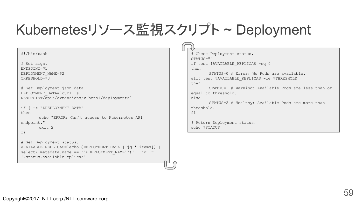# Kubernetesリソース監視スクリプト ~ Deployment

#!/bin/bash # Set args. ENDPOINT=\$1 DEPLOYMENT\_NAME=\$2 THRESHOLD=\$3 # Get Deployment json data. DEPLOYMENT\_DATA=`curl -s \$ENDPOINT/apis/extensions/v1beta1/deployments` if [ -z "\$DEPLOYMENT DATA" ] then echo "ERROR: Can't access to Kubernetes API endpoint." exit 2 fi # Get Deployment status. AVAILABLE\_REPLICAS=`echo \$DEPLOYMENT\_DATA | jq '.items[] |  $select( . metadata .name == "'SDEPENDYMENT NAME'")' | jq -r$ '.status.availableReplicas'`

```
# Check Deployment status.
STATUS=""
if test $AVAILABLE REPLICAS -eq 0
then
       STATUS=0 # Error: No Pods are available.
elif test $AVAILABLE_REPLICAS -le $THRESHOLD
then
       STATUS=1 # Warning: Available Pods are less than or 
equal to threshold.
else
       STATUS=2 # Healthy: Available Pods are more than 
threshold.
f_i# Return Deployment status.
echo $STATUS
```